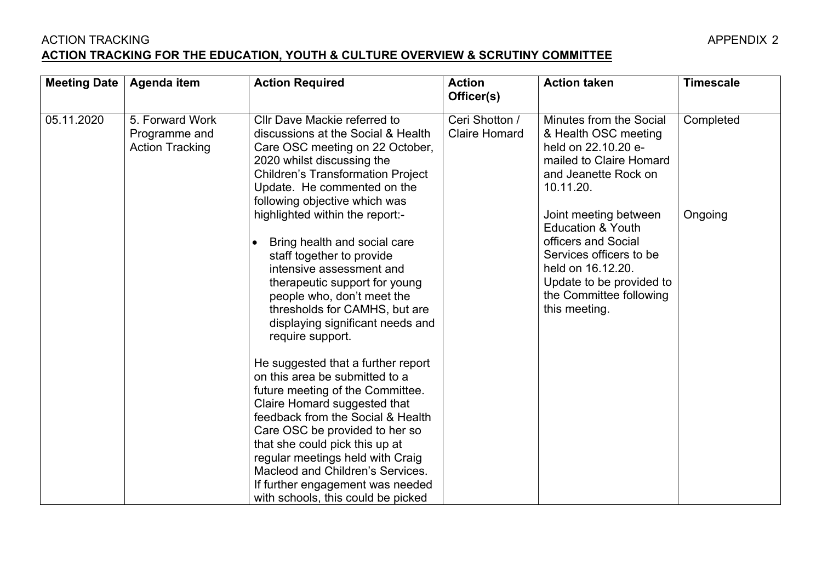## ACTION TRACKING APPENDIX 2 **ACTION TRACKING FOR THE EDUCATION, YOUTH & CULTURE OVERVIEW & SCRUTINY COMMITTEE**

 $\blacksquare$ 

| <b>Meeting Date</b> | Agenda item                                                | <b>Action Required</b>                                                                                                                                                                                                                                                                                                                                                                                                                                                                                                                                                                                                                                                                               | <b>Action</b><br>Officer(s)            | <b>Action taken</b>                                                                                                                                                                                  | <b>Timescale</b> |
|---------------------|------------------------------------------------------------|------------------------------------------------------------------------------------------------------------------------------------------------------------------------------------------------------------------------------------------------------------------------------------------------------------------------------------------------------------------------------------------------------------------------------------------------------------------------------------------------------------------------------------------------------------------------------------------------------------------------------------------------------------------------------------------------------|----------------------------------------|------------------------------------------------------------------------------------------------------------------------------------------------------------------------------------------------------|------------------|
| 05.11.2020          | 5. Forward Work<br>Programme and<br><b>Action Tracking</b> | Cllr Dave Mackie referred to<br>discussions at the Social & Health<br>Care OSC meeting on 22 October,<br>2020 whilst discussing the<br><b>Children's Transformation Project</b><br>Update. He commented on the<br>following objective which was                                                                                                                                                                                                                                                                                                                                                                                                                                                      | Ceri Shotton /<br><b>Claire Homard</b> | Minutes from the Social<br>& Health OSC meeting<br>held on 22,10,20 e-<br>mailed to Claire Homard<br>and Jeanette Rock on<br>10.11.20.                                                               | Completed        |
|                     |                                                            | highlighted within the report:-<br>Bring health and social care<br>$\bullet$<br>staff together to provide<br>intensive assessment and<br>therapeutic support for young<br>people who, don't meet the<br>thresholds for CAMHS, but are<br>displaying significant needs and<br>require support.<br>He suggested that a further report<br>on this area be submitted to a<br>future meeting of the Committee.<br>Claire Homard suggested that<br>feedback from the Social & Health<br>Care OSC be provided to her so<br>that she could pick this up at<br>regular meetings held with Craig<br>Macleod and Children's Services.<br>If further engagement was needed<br>with schools, this could be picked |                                        | Joint meeting between<br><b>Education &amp; Youth</b><br>officers and Social<br>Services officers to be<br>held on 16.12.20.<br>Update to be provided to<br>the Committee following<br>this meeting. | Ongoing          |